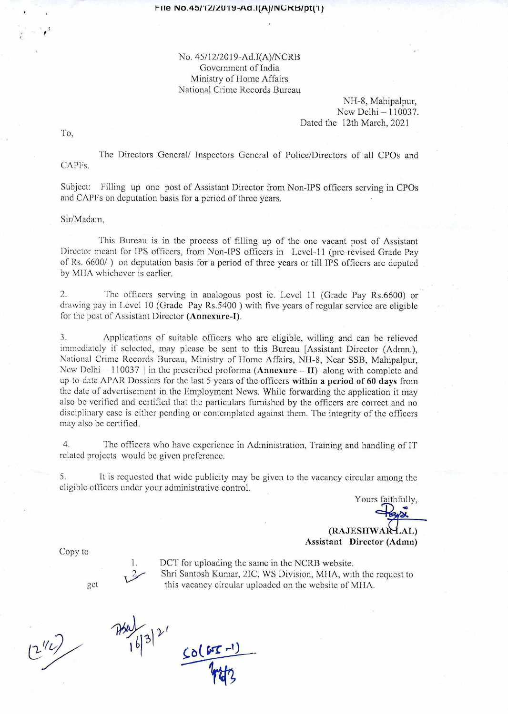## No. 45/12/2019-Ad.I(A)/NCRB Government of India Ministry of Home Affairs National Crime Records Bureau

NH-8, Mahipalpur, New Delhi — 110037. Dated the 12th March, 2021

To,

The Directors General/ Inspectors General of Police/Directors of all CPOs and CAPFs.

Subject: Filling up one post of Assistant Director from Non-IPS officers serving in CPOs and CAPFs on deputation basis for a period of three years.

Sir/Madam,

This Bureau is in the process of filling up of the one vacant post of Assistant Director meant for IPS officers, from Non-IPS officers in Level-11 (pre-revised Grade Pay of Rs. 6600/-) on deputation basis for a period of three years or till IPS officers are deputed by MIIA whichever is earlier.

2. The officers serving in analogous post ie. Level 11 (Grade Pay Rs.6600) or drawing pay in Level 10 (Grade Pay Rs.5400 ) with five years of regular service are eligible for the post of Assistant Director (Annexure-I).

3. Applications of suitable officers who are eligible, willing and can be relieved immediately if selected, may please be sent to this Bureau [Assistant Director (Admn.), National Crime Records Bureau, Ministry of Home Affairs, NH-8, Near SSB, Mahipalpur, New Delhi  $-110037$  in the prescribed proforma (**Annexure**  $-$  **II**) along with complete and up-to-date APAR Dossiers for the last 5 years of the officers **within a period of 60 days** from the date of advertisement in the Employment News. While forwarding the application it may also be verified and certified that the particulars furnished by the officers are correct and no disciplinary case is either pending or contemplated against them. The integrity of the officers may also be certified.

4. The officers who have experience in Administration, Training and handling of IT related projects would be given preference.

5. It is requested that wide publicity may be given to the vacancy circular among the eligible officers under your administrative control.

> **(RAJESIIWA**  Assistant Director (Admn)

Yours faithfully,

Copy to

DCT for uploading the same in the NCRB website. Shri Santosh Kumar, 21C, WS Division, MIIA, with the request to get this vacancy circular uploaded on the website of MHA.

 $CO(M)$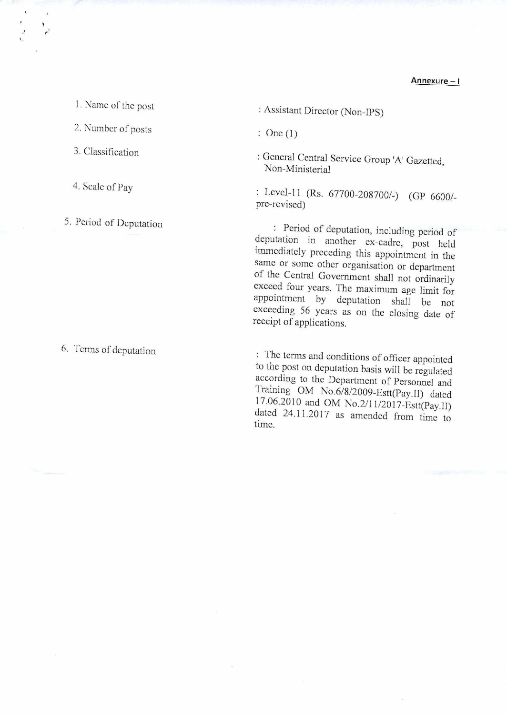**Annexure — I** 

1. Name of the post

2. Number of posts

3. Classification

4. Scale of Pay

5. Period of Deputation

6. Terms of deputation

: Assistant Director (Non-IPS)

: One (1)

: General Central Service Group 'A' Gazetted, Non-Ministerial

: Level-11 (Rs. 67700-208700/-) (GP 6600/ pre-revised)

: Period of deputation, including period of deputation in another ex-cadre, post held immediately preceding this appointment in the same or some other organisation or department of the Central Government shall not ordinarily exceed four years. The maximum age limit for appointment by deputation shall be not exceeding 56 years as on the closing date of receipt of applications.

: The terms and conditions of officer appointed to the post on deputation basis will be regulated according to the Department of Personnel and Training OM No.6/8/2009-Estt(Pay.II) dated 17.06.2010 and OM No.2/11/2017-Estt(Pay.II) dated 24.11.2017 as amended from time to time.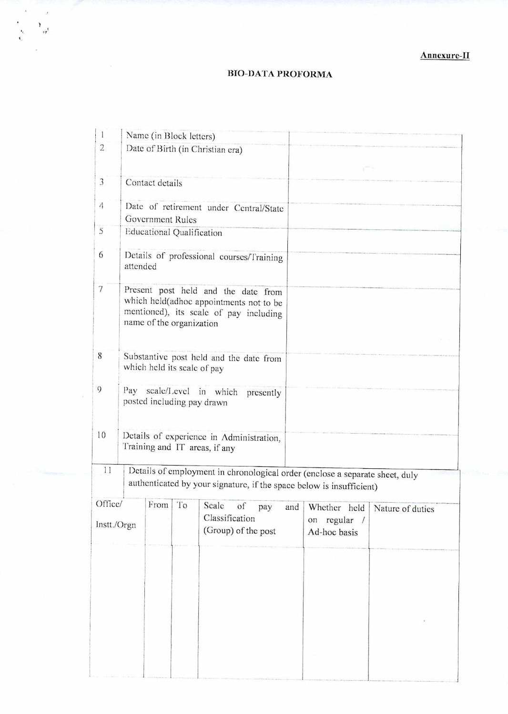## **RIO-DATA PROFORMA**

 $\sim$ 

 $\begin{pmatrix} 1 & 1 \\ 1 & 1 \\ 1 & 1 \end{pmatrix}$ 

| 1                      |                                                                                                                                                      |                 | Name (in Block letters)          |                                                                                                                                                      |     |                                 |                                 |  |
|------------------------|------------------------------------------------------------------------------------------------------------------------------------------------------|-----------------|----------------------------------|------------------------------------------------------------------------------------------------------------------------------------------------------|-----|---------------------------------|---------------------------------|--|
| $\overline{2}$         |                                                                                                                                                      |                 |                                  | Date of Birth (in Christian era)                                                                                                                     |     |                                 |                                 |  |
|                        |                                                                                                                                                      |                 |                                  |                                                                                                                                                      |     |                                 |                                 |  |
| 3                      |                                                                                                                                                      | Contact details |                                  |                                                                                                                                                      |     |                                 |                                 |  |
| 4                      |                                                                                                                                                      |                 | Government Rules                 | Date of retirement under Central/State                                                                                                               |     |                                 |                                 |  |
| 5                      |                                                                                                                                                      |                 | <b>Educational Qualification</b> |                                                                                                                                                      |     |                                 |                                 |  |
| 6                      | attended                                                                                                                                             |                 |                                  | Details of professional courses/Training                                                                                                             |     |                                 |                                 |  |
| 7                      | Present post held and the date from<br>which held(adhoc appointments not to be<br>mentioned), its scale of pay including<br>name of the organization |                 |                                  |                                                                                                                                                      |     |                                 |                                 |  |
| 8                      | Substantive post held and the date from<br>which held its scale of pay                                                                               |                 |                                  |                                                                                                                                                      |     |                                 |                                 |  |
| 9                      | Pay scale/Level in which<br>presently<br>posted including pay drawn                                                                                  |                 |                                  |                                                                                                                                                      |     |                                 |                                 |  |
| 10                     | Details of experience in Administration,<br>Training and IT areas, if any                                                                            |                 |                                  |                                                                                                                                                      |     |                                 |                                 |  |
| 11                     |                                                                                                                                                      |                 |                                  | Details of employment in chronological order (enclose a separate sheet, duly<br>authenticated by your signature, if the space below is insufficient) |     |                                 |                                 |  |
| Office/<br>Instt./Orgn |                                                                                                                                                      | From            | To                               | Scale<br>of<br>pay<br>Classification<br>(Group) of the post                                                                                          | and | regular /<br>on<br>Ad-hoc basis | Whether held   Nature of duties |  |
|                        |                                                                                                                                                      |                 |                                  |                                                                                                                                                      |     |                                 |                                 |  |
|                        |                                                                                                                                                      |                 |                                  |                                                                                                                                                      |     |                                 |                                 |  |
|                        |                                                                                                                                                      |                 |                                  |                                                                                                                                                      |     |                                 |                                 |  |
|                        |                                                                                                                                                      |                 |                                  |                                                                                                                                                      |     |                                 |                                 |  |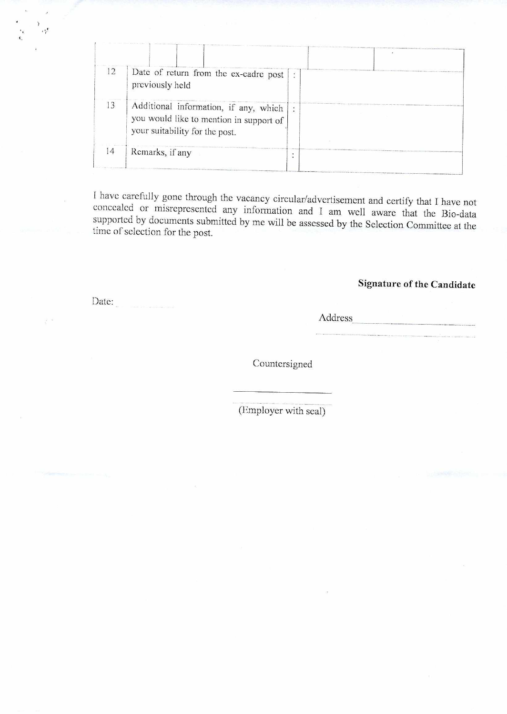| 12             | Date of return from the ex-cadre post<br>previously held                                                           | ٠              |  |
|----------------|--------------------------------------------------------------------------------------------------------------------|----------------|--|
| 13             | Additional information, if any, which<br>you would like to mention in support of<br>your suitability for the post. | $\ddot{\cdot}$ |  |
| $\overline{4}$ | Remarks, if any                                                                                                    |                |  |

I have carefully gone through the vacancy circular/advertisement and certify that I have not concealed or misrepresented any information and I am well aware that the Bio-data supported by documents submitted by me will be assessed by the Selection Committee at the time of selection for the post.

## Signature of the Candidate

Address

Countersigned

(Employer with seal)

Date:

 $\cdot$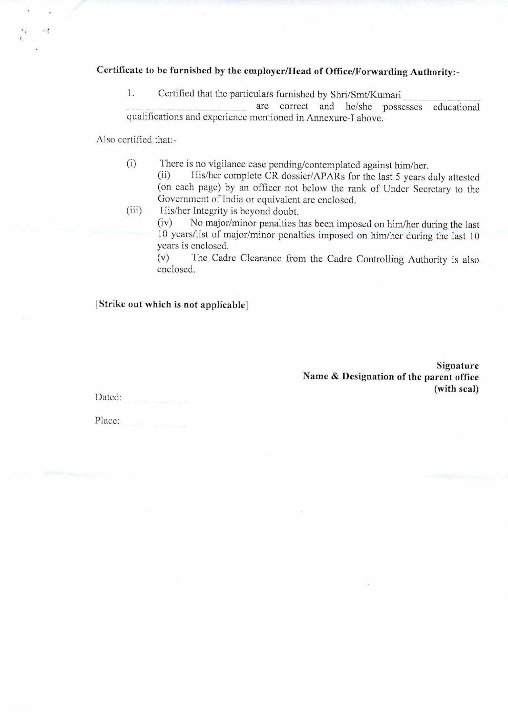## Certificate to be furnished by the employer/Head of Office/Forwarding Authority:-

1. Certified that the particulars furnished by Shri/Smt/Kumari

are correct and he/she possesses educational qualifications and experience mentioned in Annexure-I above.

Also certified that:-

 $\cdot$ 

(i) There is no vigilance case pending/contemplated against him/her.<br>(ii) His/her complete CR dossier/APARs for the last 5 years of His/her complete CR dossier/APARs for the last 5 years duly attested (on each page) by an officer not below the rank of Under Secretary to the Government of India or equivalent are enclosed.

(iii) His/her Integrity is beyond doubt.

(iv) No major/minor penalties has been imposed on him/her during the last 10 years/list of major/minor penalties imposed on him/her during the last 10 years is enclosed.

(v) The Cadre Clearance from the Cadre Controlling Authority is also enclosed.

! Strike out which is not applicable]

Signature Name & Designation of the parent office (with seal)

Dated: Place: